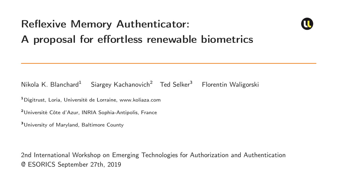# Reflexive Memory Authenticator:



## A proposal for effortless renewable biometrics

#### Nikola K. Blanchard<sup>1</sup> Siargey Kachanovich<sup>2</sup> Ted Selker<sup>3</sup> Florentin Waligorski

<sup>1</sup>Digitrust, Loria, Université de Lorraine, www.koliaza.com

<sup>2</sup>Université Côte d'Azur, INRIA Sophia-Antipolis, France

<sup>3</sup>University of Maryland, Baltimore County

2nd International Workshop on Emerging Technologies for Authorization and Authentication @ ESORICS September 27th, 2019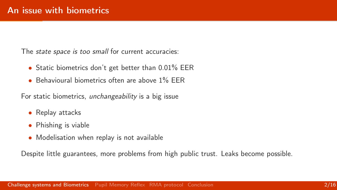<span id="page-1-0"></span>The *state space is too small* for current accuracies:

- Static biometrics don't get better than 0.01% EER
- Behavioural biometrics often are above 1% FFR

For static biometrics, unchangeability is a big issue

- Replay attacks
- Phishing is viable
- Modelisation when replay is not available

Despite little guarantees, more problems from high public trust. Leaks become possible.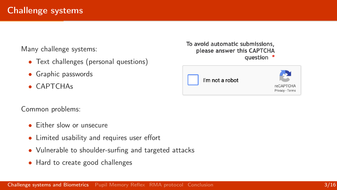Many challenge systems:

- Text challenges (personal questions)
- Graphic passwords
- CAPTCHAs

Common problems:

- **•** Fither slow or unsecure
- Limited usability and requires user effort
- Vulnerable to shoulder-surfing and targeted attacks
- Hard to create good challenges



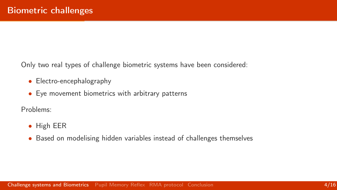Only two real types of challenge biometric systems have been considered:

- Electro-encephalography
- Eye movement biometrics with arbitrary patterns

Problems:

- High EER
- Based on modelising hidden variables instead of challenges themselves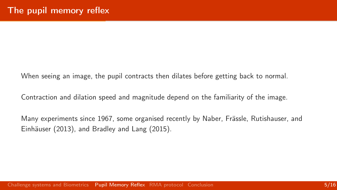<span id="page-4-0"></span>When seeing an image, the pupil contracts then dilates before getting back to normal.

Contraction and dilation speed and magnitude depend on the familiarity of the image.

Many experiments since 1967, some organised recently by Naber, Frässle, Rutishauser, and Einhäuser (2013), and Bradley and Lang (2015).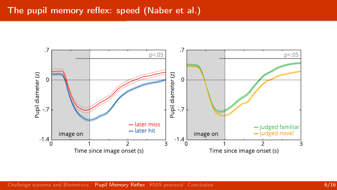#### The pupil memory reflex: speed (Naber et al.)

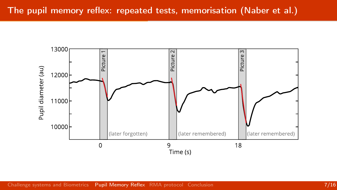#### The pupil memory reflex: repeated tests, memorisation (Naber et al.)

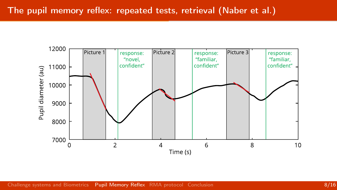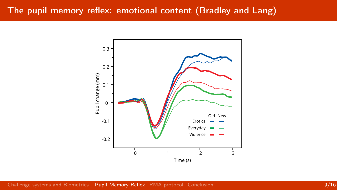#### The pupil memory reflex: emotional content (Bradley and Lang)

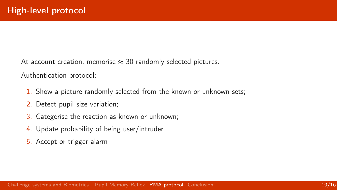<span id="page-9-0"></span>At account creation, memorise  $\approx$  30 randomly selected pictures.

Authentication protocol:

- 1. Show a picture randomly selected from the known or unknown sets;
- 2. Detect pupil size variation;
- 3. Categorise the reaction as known or unknown;
- 4. Update probability of being user/intruder
- 5. Accept or trigger alarm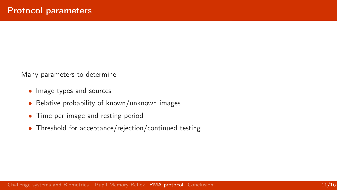Many parameters to determine

- Image types and sources
- Relative probability of known/unknown images
- Time per image and resting period
- Threshold for acceptance/rejection/continued testing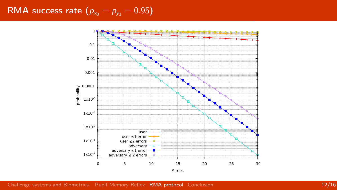### RMA success rate  $(p_{x_0} = p_{y_1} = 0.95)$

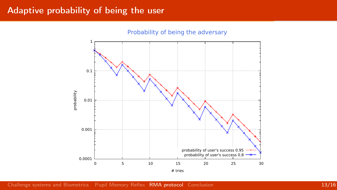#### Adaptive probability of being the user

Probability of being the adversary

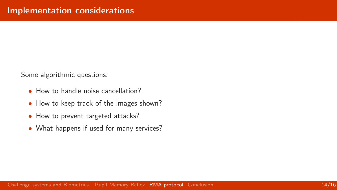Some algorithmic questions:

- How to handle noise cancellation?
- How to keep track of the images shown?
- How to prevent targeted attacks?
- What happens if used for many services?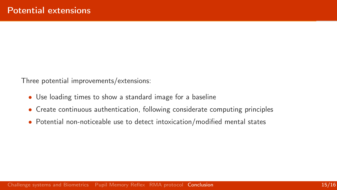<span id="page-14-0"></span>Three potential improvements/extensions:

- Use loading times to show a standard image for a baseline
- Create continuous authentication, following considerate computing principles
- Potential non-noticeable use to detect intoxication/modified mental states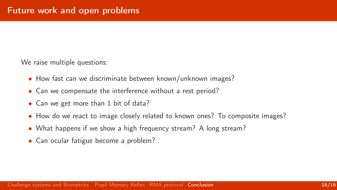We raise multiple questions:

- How fast can we discriminate between known/unknown images?
- Can we compensate the interference without a rest period?
- Can we get more than 1 bit of data?
- How do we react to image closely related to known ones? To composite images?
- What happens if we show a high frequency stream? A long stream?
- Can ocular fatigue become a problem?